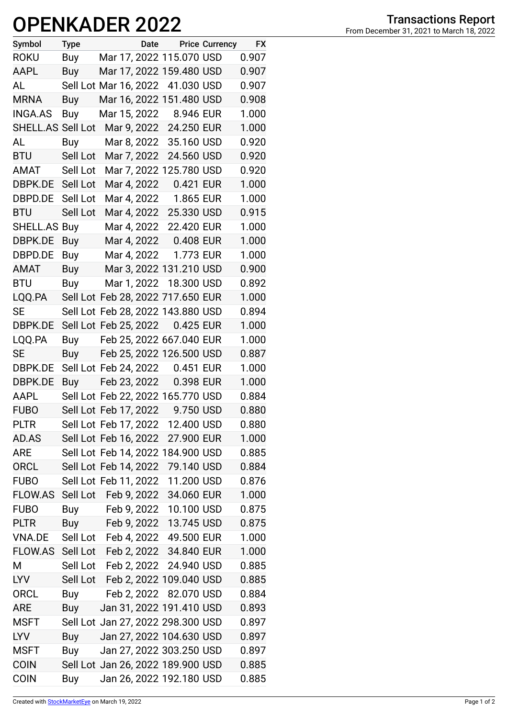## **OPENKADER 2022**

| Symbol            | <b>Type</b> |                       | Date |                                   | <b>Price Currency</b> | <b>FX</b> |
|-------------------|-------------|-----------------------|------|-----------------------------------|-----------------------|-----------|
| <b>ROKU</b>       | Buy         |                       |      | Mar 17, 2022 115.070 USD          |                       | 0.907     |
| AAPL              | Buy         |                       |      | Mar 17, 2022 159.480 USD          |                       | 0.907     |
| AL                |             | Sell Lot Mar 16, 2022 |      | 41.030 USD                        |                       | 0.907     |
| <b>MRNA</b>       | Buy         |                       |      | Mar 16, 2022 151.480 USD          |                       | 0.908     |
| <b>INGA.AS</b>    | Buy         | Mar 15, 2022          |      | 8.946 EUR                         |                       | 1.000     |
| SHELL.AS Sell Lot |             |                       |      | Mar 9, 2022 24.250 EUR            |                       | 1.000     |
| AL                | Buy         | Mar 8, 2022           |      | 35.160 USD                        |                       | 0.920     |
| <b>BTU</b>        | Sell Lot    | Mar 7, 2022           |      | 24.560 USD                        |                       | 0.920     |
| AMAT              | Sell Lot    |                       |      | Mar 7, 2022 125.780 USD           |                       | 0.920     |
| DBPK.DE           | Sell Lot    | Mar 4, 2022           |      | 0.421 EUR                         |                       | 1.000     |
| DBPD.DE           | Sell Lot    | Mar 4, 2022           |      | 1.865 EUR                         |                       | 1.000     |
| <b>BTU</b>        | Sell Lot    | Mar 4, 2022           |      | 25.330 USD                        |                       | 0.915     |
| SHELL.AS Buy      |             | Mar 4, 2022           |      | 22.420 EUR                        |                       | 1.000     |
| DBPK.DE           | Buy         | Mar 4, 2022           |      | 0.408 EUR                         |                       | 1.000     |
| DBPD.DE           | Buy         | Mar 4, 2022           |      | 1.773 EUR                         |                       | 1.000     |
| AMAT              | <b>Buy</b>  |                       |      | Mar 3, 2022 131.210 USD           |                       | 0.900     |
| <b>BTU</b>        | Buy         | Mar 1, 2022           |      | 18.300 USD                        |                       | 0.892     |
| LQQ.PA            |             |                       |      | Sell Lot Feb 28, 2022 717.650 EUR |                       | 1.000     |
| SE                |             |                       |      | Sell Lot Feb 28, 2022 143.880 USD |                       | 0.894     |
| DBPK.DE           |             | Sell Lot Feb 25, 2022 |      | 0.425 EUR                         |                       | 1.000     |
| LQQ.PA            | Buy         |                       |      | Feb 25, 2022 667.040 EUR          |                       | 1.000     |
| <b>SE</b>         | Buy         |                       |      | Feb 25, 2022 126.500 USD          |                       | 0.887     |
| DBPK.DE           |             | Sell Lot Feb 24, 2022 |      | 0.451 EUR                         |                       | 1.000     |
| DBPK.DE           | Buy         | Feb 23, 2022          |      | 0.398 EUR                         |                       | 1.000     |
| <b>AAPL</b>       |             |                       |      | Sell Lot Feb 22, 2022 165.770 USD |                       | 0.884     |
| <b>FUBO</b>       |             | Sell Lot Feb 17, 2022 |      | 9.750 USD                         |                       | 0.880     |
| <b>PLTR</b>       |             | Sell Lot Feb 17, 2022 |      | 12.400 USD                        |                       | 0.880     |
| AD.AS             |             | Sell Lot Feb 16, 2022 |      | 27.900 EUR                        |                       | 1.000     |
| <b>ARE</b>        |             |                       |      | Sell Lot Feb 14, 2022 184.900 USD |                       | 0.885     |
| <b>ORCL</b>       |             | Sell Lot Feb 14, 2022 |      | 79.140 USD                        |                       | 0.884     |
| <b>FUBO</b>       |             | Sell Lot Feb 11, 2022 |      | 11.200 USD                        |                       | 0.876     |
| FLOW.AS           | Sell Lot    | Feb 9, 2022           |      | 34.060 EUR                        |                       | 1.000     |
| <b>FUBO</b>       | Buy         |                       |      | Feb 9, 2022 10.100 USD            |                       | 0.875     |
| <b>PLTR</b>       | Buy         |                       |      | Feb 9, 2022 13.745 USD            |                       | 0.875     |
| VNA.DE            |             |                       |      | Sell Lot Feb 4, 2022 49.500 EUR   |                       | 1.000     |
| FLOW.AS           |             |                       |      | Sell Lot Feb 2, 2022 34.840 EUR   |                       | 1.000     |
| M                 | Sell Lot    | Feb 2, 2022           |      | 24.940 USD                        |                       | 0.885     |
| LYV.              | Sell Lot    |                       |      | Feb 2, 2022 109.040 USD           |                       | 0.885     |
| <b>ORCL</b>       | Buy         |                       |      | Feb 2, 2022 82.070 USD            |                       | 0.884     |
| <b>ARE</b>        | Buy         |                       |      | Jan 31, 2022 191.410 USD          |                       | 0.893     |
| <b>MSFT</b>       |             |                       |      | Sell Lot Jan 27, 2022 298.300 USD |                       | 0.897     |
| <b>LYV</b>        | Buy         |                       |      | Jan 27, 2022 104.630 USD          |                       | 0.897     |
| <b>MSFT</b>       | Buy         |                       |      | Jan 27, 2022 303.250 USD          |                       | 0.897     |
| <b>COIN</b>       |             |                       |      | Sell Lot Jan 26, 2022 189.900 USD |                       | 0.885     |
| <b>COIN</b>       | Buy         |                       |      | Jan 26, 2022 192.180 USD          |                       | 0.885     |